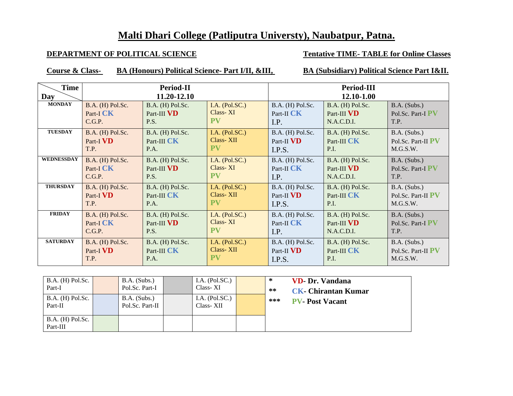## **Malti Dhari College (Patliputra Universty), Naubatpur, Patna.**

## **DEPARTMENT OF POLITICAL SCIENCE Tentative TIME-TABLE** for Online Classes

**Course & Class- BA (Honours) Political Science- Part I/II, &III, BA (Subsidiary) Political Science Part I&II.**

| <b>Time</b>       |                               | Period-II                       |                              | <b>Period-III</b>                |                                 |                                     |  |
|-------------------|-------------------------------|---------------------------------|------------------------------|----------------------------------|---------------------------------|-------------------------------------|--|
| Day               |                               | 11.20-12.10                     |                              | 12.10-1.00                       |                                 |                                     |  |
| <b>MONDAY</b>     | B.A. (H) Pol.Sc.<br>Part-I CK | B.A. (H) Pol.Sc.<br>Part-III VD | I.A. $(Pol.SC.)$<br>Class-XI | B.A. (H) Pol.Sc.<br>Part-II $CK$ | B.A. (H) Pol.Sc.<br>Part-III VD | $B.A.$ (Subs.)<br>Pol.Sc. Part-I PV |  |
|                   | C.G.P.                        | P.S.                            | <b>PV</b>                    | I.P.                             | N.A.C.D.I.                      | T.P.                                |  |
| <b>TUESDAY</b>    | B.A. (H) Pol.Sc.              | B.A. (H) Pol.Sc.                | I.A. $(Pol.SC.)$             | B.A. (H) Pol.Sc.                 | B.A. (H) Pol.Sc.                | B.A. (Subs.)                        |  |
|                   | Part-I VD                     | Part-III CK                     | Class-XII                    | Part-II VD                       | Part-III CK                     | Pol.Sc. Part-II PV                  |  |
|                   | T.P.                          | P.A.                            | <b>PV</b>                    | I.P.S.                           | P.I.                            | M.G.S.W.                            |  |
| <b>WEDNESSDAY</b> | B.A. (H) Pol.Sc.              | B.A. (H) Pol.Sc.                | I.A. $(Pol.SC.)$             | B.A. (H) Pol.Sc.                 | B.A. (H) Pol.Sc.                | B.A. (Subs.)                        |  |
|                   | Part-I CK                     | Part-III VD                     | Class-XI                     | Part-II CK                       | Part-III VD                     | Pol.Sc. Part-I PV                   |  |
|                   | C.G.P.                        | P.S.                            | PV                           | I.P.                             | N.A.C.D.I.                      | T.P.                                |  |
| <b>THURSDAY</b>   | B.A. (H) Pol.Sc.              | B.A. (H) Pol.Sc.                | I.A. $(Pol.SC.)$             | B.A. (H) Pol.Sc.                 | B.A. (H) Pol.Sc.                | B.A. (Subs.)                        |  |
|                   | Part-I <b>VD</b>              | Part-III CK                     | Class-XII                    | Part-II VD                       | Part-III CK                     | Pol.Sc. Part-II PV                  |  |
|                   | T.P.                          | P.A.                            | <b>PV</b>                    | I.P.S.                           | P.I.                            | M.G.S.W.                            |  |
| <b>FRIDAY</b>     | B.A. (H) Pol.Sc.              | B.A. (H) Pol.Sc.                | I.A. $(Pol.SC.)$             | B.A. (H) Pol.Sc.                 | B.A. (H) Pol.Sc.                | B.A. (Subs.)                        |  |
|                   | Part-I CK                     | Part-III VD                     | Class-XI                     | Part-II CK                       | Part-III VD                     | Pol.Sc. Part-I PV                   |  |
|                   | C.G.P.                        | P.S.                            | <b>PV</b>                    | I.P.                             | N.A.C.D.I.                      | T.P.                                |  |
| <b>SATURDAY</b>   | B.A. (H) Pol.Sc.              | B.A. (H) Pol.Sc.                | I.A. $(Pol.SC.)$             | B.A. (H) Pol.Sc.                 | B.A. (H) Pol.Sc.                | $B.A.$ (Subs.)                      |  |
|                   | Part-I VD                     | Part-III CK                     | Class-XII                    | Part-II VD                       | Part-III CK                     | Pol.Sc. Part-II PV                  |  |
|                   | T.P.                          | P.A.                            | <b>PV</b>                    | I.P.S.                           | P.I.                            | M.G.S.W.                            |  |

| $B.A.$ (H) Pol.Sc.<br>Part-I   | $B.A.$ (Subs.)<br>Pol.Sc. Part-I  | I.A. $(Pol.SC.)$<br>Class-XI  | ∗<br>** | <b>VD- Dr. Vandana</b><br><b>CK- Chirantan Kumar</b> |
|--------------------------------|-----------------------------------|-------------------------------|---------|------------------------------------------------------|
| $B.A.$ (H) Pol.Sc.<br>Part-II  | $B.A.$ (Subs.)<br>Pol.Sc. Part-II | I.A. $(Pol.SC.)$<br>Class-XII | ***     | <b>PV-Post Vacant</b>                                |
| $B.A.$ (H) Pol.Sc.<br>Part-III |                                   |                               |         |                                                      |